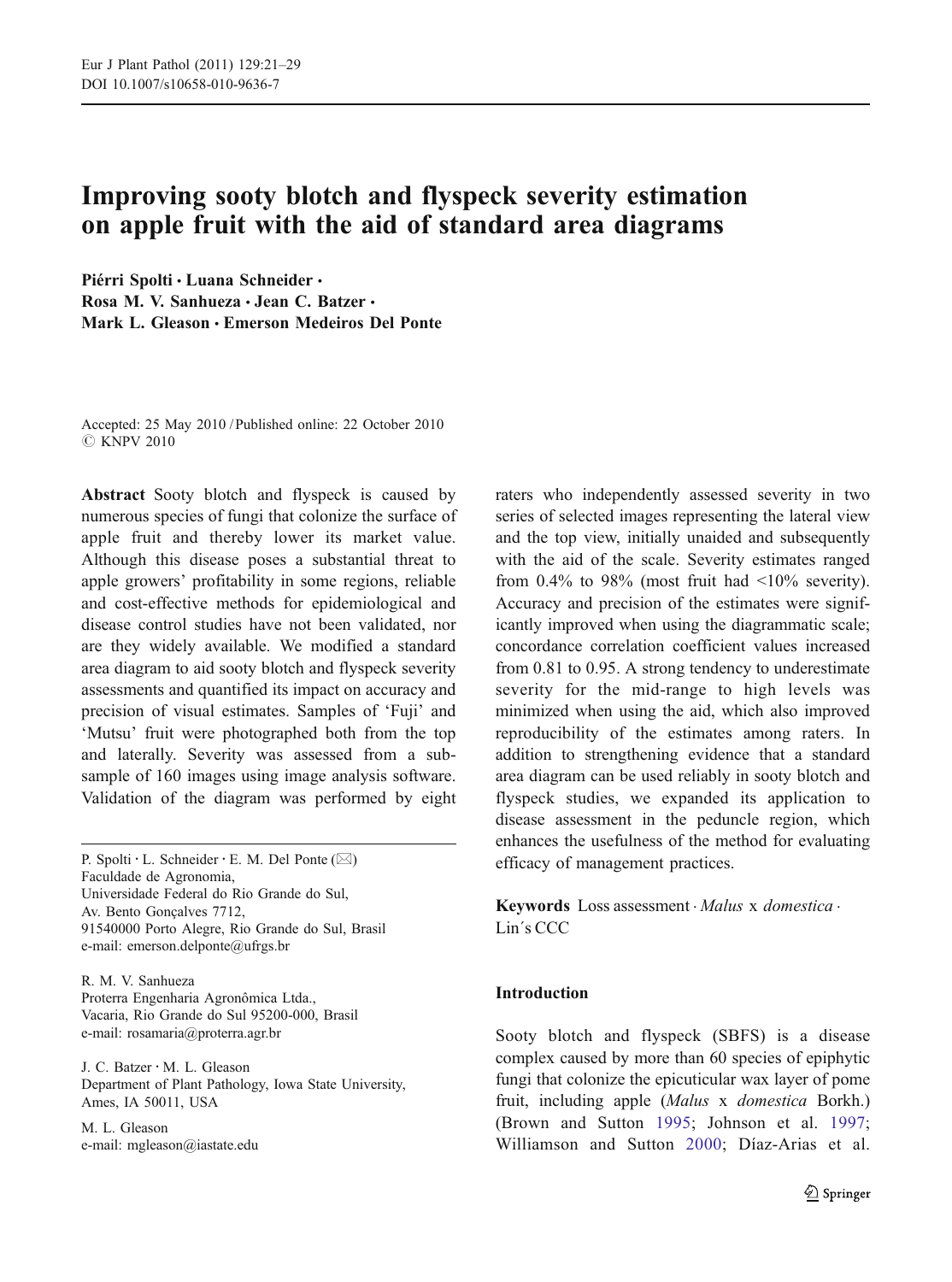# Improving sooty blotch and flyspeck severity estimation on apple fruit with the aid of standard area diagrams

Piérri Spolti · Luana Schneider · Rosa M. V. Sanhueza · Jean C. Batzer · Mark L. Gleason · Emerson Medeiros Del Ponte

Accepted: 25 May 2010 / Published online: 22 October 2010 C KNPV 2010

Abstract Sooty blotch and flyspeck is caused by numerous species of fungi that colonize the surface of apple fruit and thereby lower its market value. Although this disease poses a substantial threat to apple growers' profitability in some regions, reliable and cost-effective methods for epidemiological and disease control studies have not been validated, nor are they widely available. We modified a standard area diagram to aid sooty blotch and flyspeck severity assessments and quantified its impact on accuracy and precision of visual estimates. Samples of 'Fuji' and 'Mutsu' fruit were photographed both from the top and laterally. Severity was assessed from a subsample of 160 images using image analysis software. Validation of the diagram was performed by eight

P. Spolti  $\cdot$  L. Schneider  $\cdot$  E. M. Del Ponte ( $\boxtimes$ ) Faculdade de Agronomia, Universidade Federal do Rio Grande do Sul, Av. Bento Gonçalves 7712, 91540000 Porto Alegre, Rio Grande do Sul, Brasil e-mail: emerson.delponte@ufrgs.br

R. M. V. Sanhueza Proterra Engenharia Agronômica Ltda., Vacaria, Rio Grande do Sul 95200-000, Brasil e-mail: rosamaria@proterra.agr.br

J. C. Batzer : M. L. Gleason Department of Plant Pathology, Iowa State University, Ames, IA 50011, USA

M. L. Gleason e-mail: mgleason@iastate.edu raters who independently assessed severity in two series of selected images representing the lateral view and the top view, initially unaided and subsequently with the aid of the scale. Severity estimates ranged from  $0.4\%$  to 98% (most fruit had  $\langle 10\%$  severity). Accuracy and precision of the estimates were significantly improved when using the diagrammatic scale; concordance correlation coefficient values increased from 0.81 to 0.95. A strong tendency to underestimate severity for the mid-range to high levels was minimized when using the aid, which also improved reproducibility of the estimates among raters. In addition to strengthening evidence that a standard area diagram can be used reliably in sooty blotch and flyspeck studies, we expanded its application to disease assessment in the peduncle region, which enhances the usefulness of the method for evaluating efficacy of management practices.

Keywords Loss assessment · Malus x domestica · Lin´s CCC

## Introduction

Sooty blotch and flyspeck (SBFS) is a disease complex caused by more than 60 species of epiphytic fungi that colonize the epicuticular wax layer of pome fruit, including apple (Malus x domestica Borkh.) (Brown and Sutton [1995](#page-7-0); Johnson et al. [1997;](#page-8-0) Williamson and Sutton [2000](#page-8-0); Díaz-Arias et al.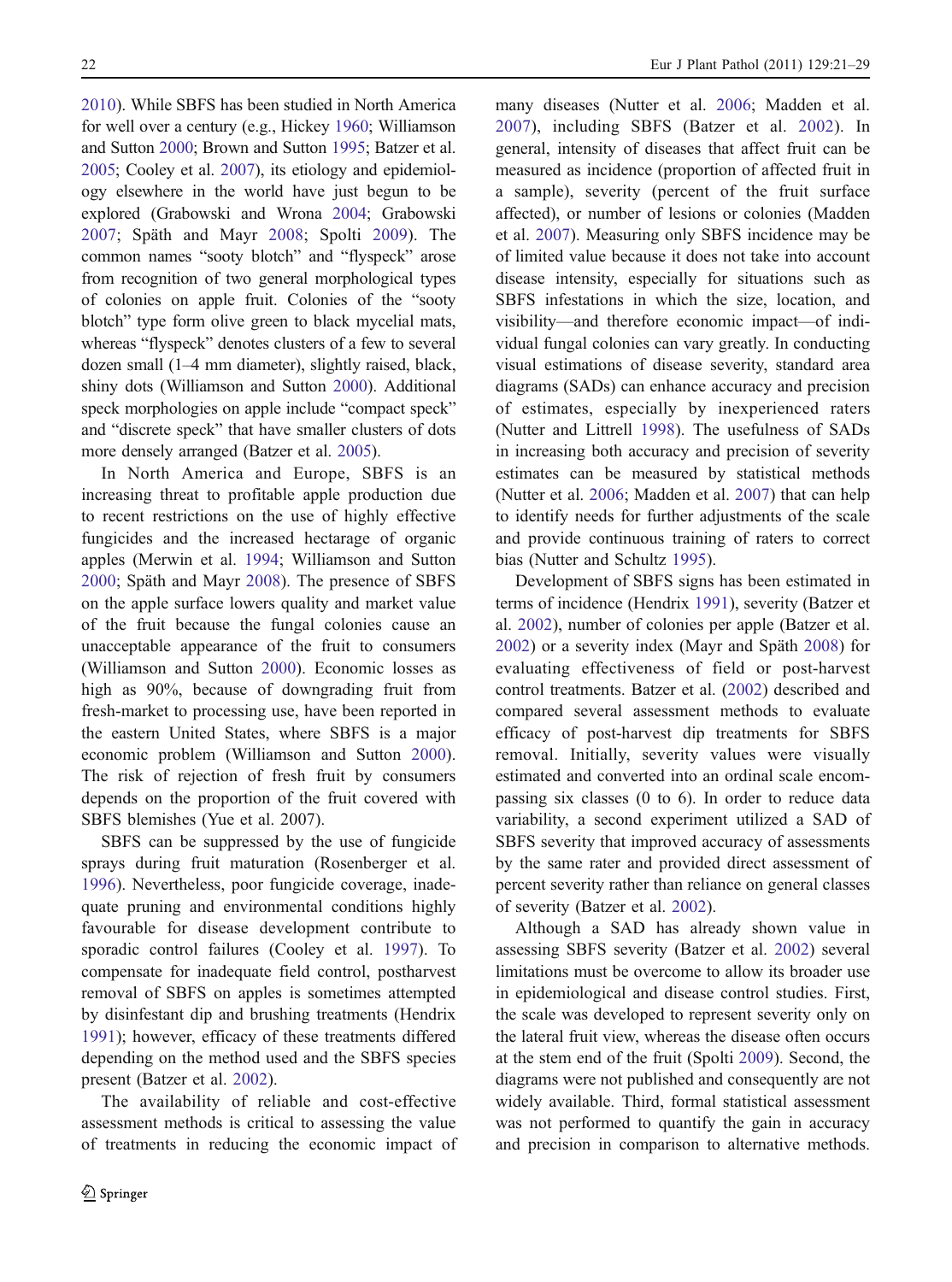[2010\)](#page-7-0). While SBFS has been studied in North America for well over a century (e.g., Hickey [1960;](#page-8-0) Williamson and Sutton [2000](#page-8-0); Brown and Sutton [1995](#page-7-0); Batzer et al. [2005](#page-7-0); Cooley et al. [2007](#page-7-0)), its etiology and epidemiology elsewhere in the world have just begun to be explored (Grabowski and Wrona [2004;](#page-8-0) Grabowski [2007;](#page-8-0) Späth and Mayr [2008;](#page-8-0) Spolti [2009](#page-8-0)). The common names "sooty blotch" and "flyspeck" arose from recognition of two general morphological types of colonies on apple fruit. Colonies of the "sooty blotch" type form olive green to black mycelial mats, whereas "flyspeck" denotes clusters of a few to several dozen small (1–4 mm diameter), slightly raised, black, shiny dots (Williamson and Sutton [2000](#page-8-0)). Additional speck morphologies on apple include "compact speck" and "discrete speck" that have smaller clusters of dots more densely arranged (Batzer et al. [2005\)](#page-7-0).

In North America and Europe, SBFS is an increasing threat to profitable apple production due to recent restrictions on the use of highly effective fungicides and the increased hectarage of organic apples (Merwin et al. [1994](#page-8-0); Williamson and Sutton [2000;](#page-8-0) Späth and Mayr [2008](#page-8-0)). The presence of SBFS on the apple surface lowers quality and market value of the fruit because the fungal colonies cause an unacceptable appearance of the fruit to consumers (Williamson and Sutton [2000](#page-8-0)). Economic losses as high as 90%, because of downgrading fruit from fresh-market to processing use, have been reported in the eastern United States, where SBFS is a major economic problem (Williamson and Sutton [2000](#page-8-0)). The risk of rejection of fresh fruit by consumers depends on the proportion of the fruit covered with SBFS blemishes (Yue et al. [2007](#page-8-0)).

SBFS can be suppressed by the use of fungicide sprays during fruit maturation (Rosenberger et al. [1996\)](#page-8-0). Nevertheless, poor fungicide coverage, inadequate pruning and environmental conditions highly favourable for disease development contribute to sporadic control failures (Cooley et al. [1997](#page-7-0)). To compensate for inadequate field control, postharvest removal of SBFS on apples is sometimes attempted by disinfestant dip and brushing treatments (Hendrix [1991\)](#page-8-0); however, efficacy of these treatments differed depending on the method used and the SBFS species present (Batzer et al. [2002\)](#page-7-0).

The availability of reliable and cost-effective assessment methods is critical to assessing the value of treatments in reducing the economic impact of many diseases (Nutter et al. [2006;](#page-8-0) Madden et al. [2007](#page-8-0)), including SBFS (Batzer et al. [2002\)](#page-7-0). In general, intensity of diseases that affect fruit can be measured as incidence (proportion of affected fruit in a sample), severity (percent of the fruit surface affected), or number of lesions or colonies (Madden et al. [2007\)](#page-8-0). Measuring only SBFS incidence may be of limited value because it does not take into account disease intensity, especially for situations such as SBFS infestations in which the size, location, and visibility—and therefore economic impact—of individual fungal colonies can vary greatly. In conducting visual estimations of disease severity, standard area diagrams (SADs) can enhance accuracy and precision of estimates, especially by inexperienced raters (Nutter and Littrell [1998](#page-8-0)). The usefulness of SADs in increasing both accuracy and precision of severity estimates can be measured by statistical methods (Nutter et al. [2006;](#page-8-0) Madden et al. [2007\)](#page-8-0) that can help to identify needs for further adjustments of the scale and provide continuous training of raters to correct bias (Nutter and Schultz [1995](#page-8-0)).

Development of SBFS signs has been estimated in terms of incidence (Hendrix [1991](#page-8-0)), severity (Batzer et al. [2002\)](#page-7-0), number of colonies per apple (Batzer et al. [2002\)](#page-7-0) or a severity index (Mayr and Späth [2008](#page-8-0)) for evaluating effectiveness of field or post-harvest control treatments. Batzer et al. [\(2002](#page-7-0)) described and compared several assessment methods to evaluate efficacy of post-harvest dip treatments for SBFS removal. Initially, severity values were visually estimated and converted into an ordinal scale encompassing six classes (0 to 6). In order to reduce data variability, a second experiment utilized a SAD of SBFS severity that improved accuracy of assessments by the same rater and provided direct assessment of percent severity rather than reliance on general classes of severity (Batzer et al. [2002](#page-7-0)).

Although a SAD has already shown value in assessing SBFS severity (Batzer et al. [2002](#page-7-0)) several limitations must be overcome to allow its broader use in epidemiological and disease control studies. First, the scale was developed to represent severity only on the lateral fruit view, whereas the disease often occurs at the stem end of the fruit (Spolti [2009\)](#page-8-0). Second, the diagrams were not published and consequently are not widely available. Third, formal statistical assessment was not performed to quantify the gain in accuracy and precision in comparison to alternative methods.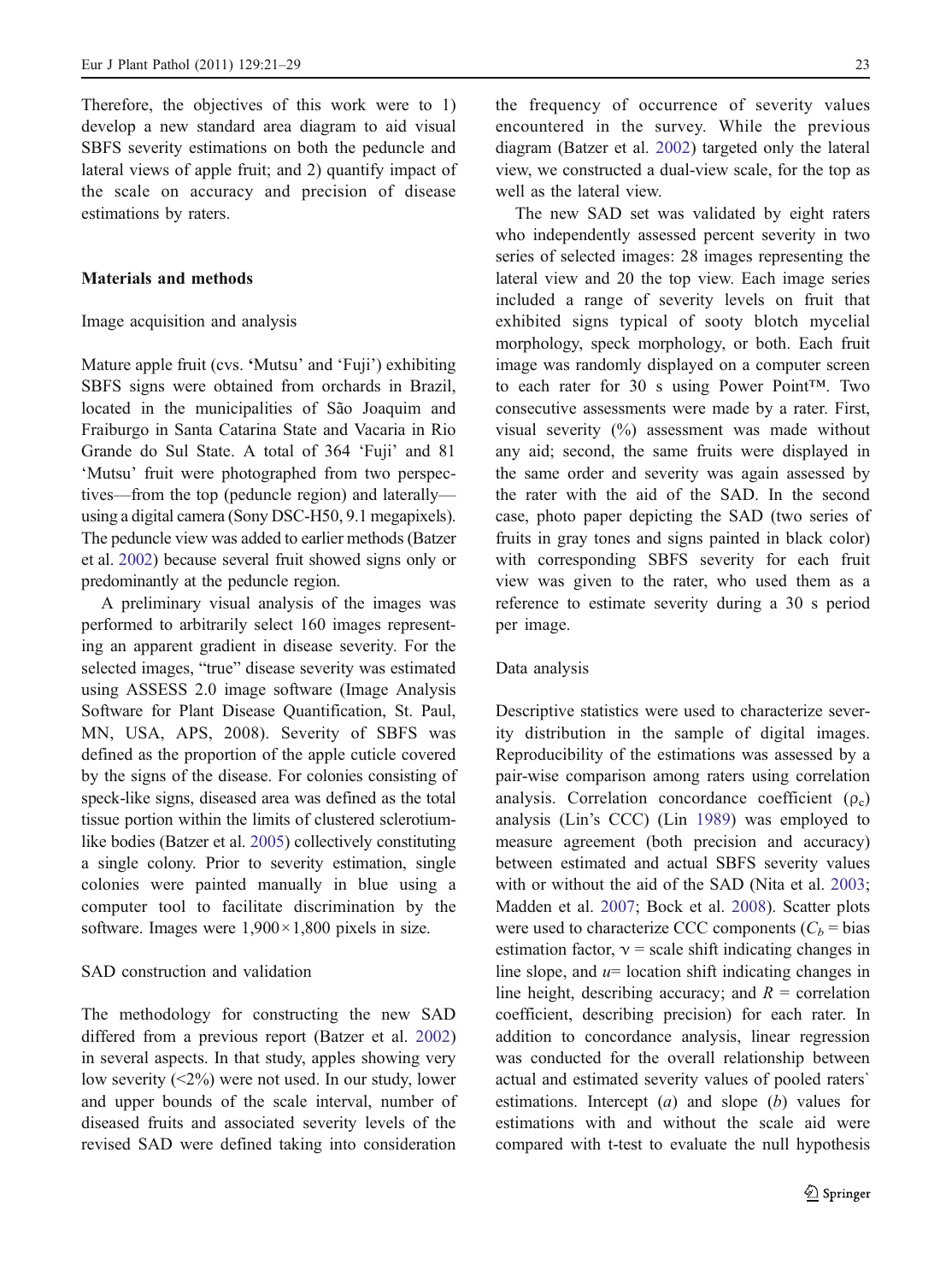Therefore, the objectives of this work were to 1) develop a new standard area diagram to aid visual SBFS severity estimations on both the peduncle and lateral views of apple fruit; and 2) quantify impact of the scale on accuracy and precision of disease estimations by raters.

## Materials and methods

### Image acquisition and analysis

Mature apple fruit (cvs. 'Mutsu' and 'Fuji') exhibiting SBFS signs were obtained from orchards in Brazil, located in the municipalities of São Joaquim and Fraiburgo in Santa Catarina State and Vacaria in Rio Grande do Sul State. A total of 364 'Fuji' and 81 'Mutsu' fruit were photographed from two perspectives—from the top (peduncle region) and laterally using a digital camera (Sony DSC-H50, 9.1 megapixels). The peduncle view was added to earlier methods (Batzer et al. [2002\)](#page-7-0) because several fruit showed signs only or predominantly at the peduncle region.

A preliminary visual analysis of the images was performed to arbitrarily select 160 images representing an apparent gradient in disease severity. For the selected images, "true" disease severity was estimated using ASSESS 2.0 image software (Image Analysis Software for Plant Disease Quantification, St. Paul, MN, USA, APS, 2008). Severity of SBFS was defined as the proportion of the apple cuticle covered by the signs of the disease. For colonies consisting of speck-like signs, diseased area was defined as the total tissue portion within the limits of clustered sclerotiumlike bodies (Batzer et al. [2005\)](#page-7-0) collectively constituting a single colony. Prior to severity estimation, single colonies were painted manually in blue using a computer tool to facilitate discrimination by the software. Images were  $1,900 \times 1,800$  pixels in size.

## SAD construction and validation

The methodology for constructing the new SAD differed from a previous report (Batzer et al. [2002\)](#page-7-0) in several aspects. In that study, apples showing very low severity (<2%) were not used. In our study, lower and upper bounds of the scale interval, number of diseased fruits and associated severity levels of the revised SAD were defined taking into consideration

the frequency of occurrence of severity values encountered in the survey. While the previous diagram (Batzer et al. [2002](#page-7-0)) targeted only the lateral view, we constructed a dual-view scale, for the top as well as the lateral view.

The new SAD set was validated by eight raters who independently assessed percent severity in two series of selected images: 28 images representing the lateral view and 20 the top view. Each image series included a range of severity levels on fruit that exhibited signs typical of sooty blotch mycelial morphology, speck morphology, or both. Each fruit image was randomly displayed on a computer screen to each rater for 30 s using Power Point™. Two consecutive assessments were made by a rater. First, visual severity (%) assessment was made without any aid; second, the same fruits were displayed in the same order and severity was again assessed by the rater with the aid of the SAD. In the second case, photo paper depicting the SAD (two series of fruits in gray tones and signs painted in black color) with corresponding SBFS severity for each fruit view was given to the rater, who used them as a reference to estimate severity during a 30 s period per image.

#### Data analysis

Descriptive statistics were used to characterize severity distribution in the sample of digital images. Reproducibility of the estimations was assessed by a pair-wise comparison among raters using correlation analysis. Correlation concordance coefficient  $(\rho_c)$ analysis (Lin's CCC) (Lin [1989](#page-8-0)) was employed to measure agreement (both precision and accuracy) between estimated and actual SBFS severity values with or without the aid of the SAD (Nita et al. [2003;](#page-8-0) Madden et al. [2007](#page-8-0); Bock et al. [2008\)](#page-7-0). Scatter plots were used to characterize CCC components  $(C_b = bias)$ estimation factor,  $v =$  scale shift indicating changes in line slope, and  $u=$  location shift indicating changes in line height, describing accuracy; and  $R =$  correlation coefficient, describing precision) for each rater. In addition to concordance analysis, linear regression was conducted for the overall relationship between actual and estimated severity values of pooled raters` estimations. Intercept  $(a)$  and slope  $(b)$  values for estimations with and without the scale aid were compared with t-test to evaluate the null hypothesis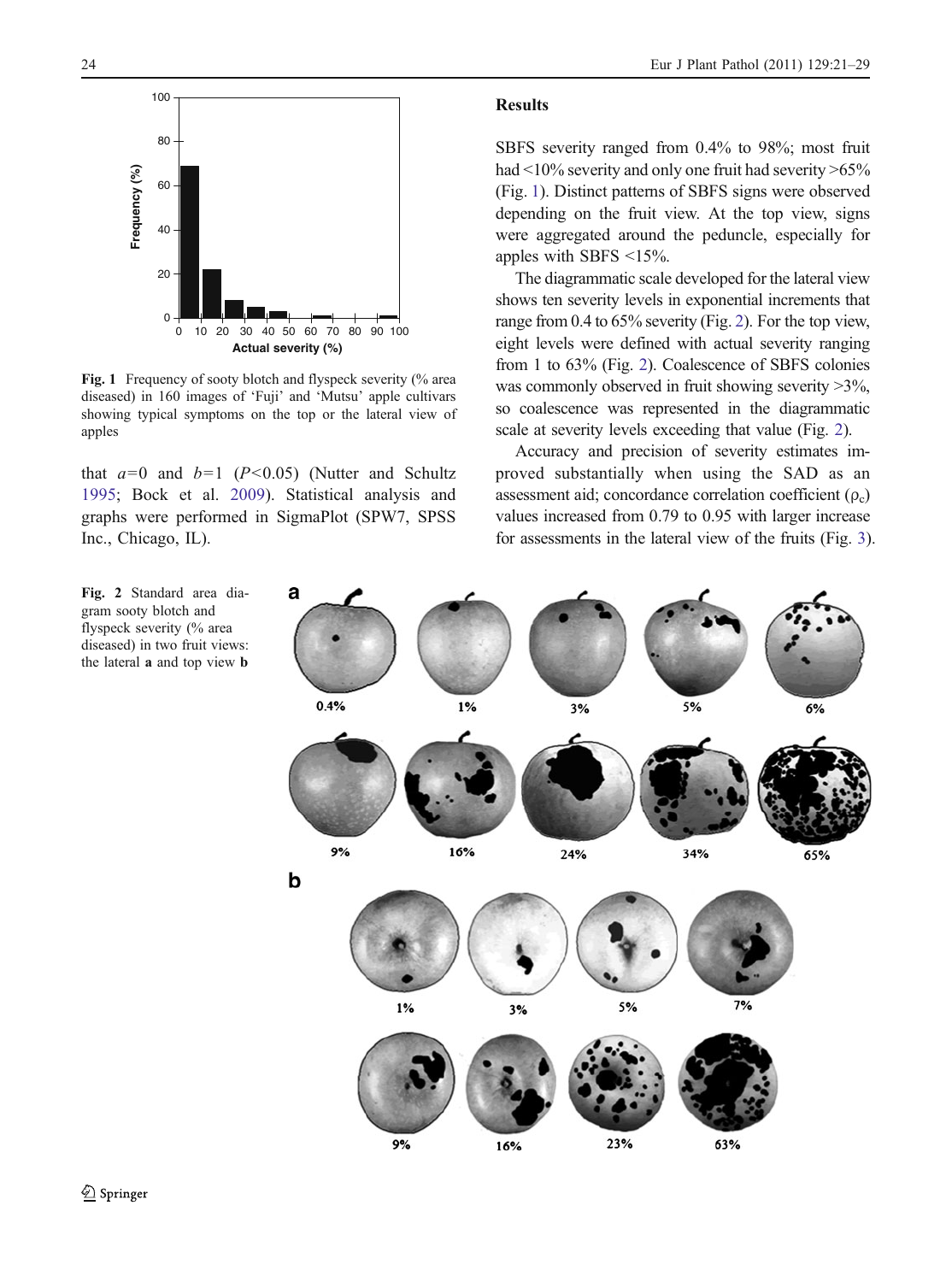

Fig. 1 Frequency of sooty blotch and flyspeck severity (% area diseased) in 160 images of 'Fuji' and 'Mutsu' apple cultivars showing typical symptoms on the top or the lateral view of apples

that  $a=0$  and  $b=1$  ( $P<0.05$ ) (Nutter and Schultz [1995;](#page-8-0) Bock et al. [2009](#page-7-0)). Statistical analysis and graphs were performed in SigmaPlot (SPW7, SPSS Inc., Chicago, IL).

# Results

SBFS severity ranged from 0.4% to 98%; most fruit had  $\leq$ 10% severity and only one fruit had severity  $\geq$ 65% (Fig. 1). Distinct patterns of SBFS signs were observed depending on the fruit view. At the top view, signs were aggregated around the peduncle, especially for apples with SBFS <15%.

The diagrammatic scale developed for the lateral view shows ten severity levels in exponential increments that range from 0.4 to 65% severity (Fig. 2). For the top view, eight levels were defined with actual severity ranging from 1 to 63% (Fig. 2). Coalescence of SBFS colonies was commonly observed in fruit showing severity  $>3\%$ , so coalescence was represented in the diagrammatic scale at severity levels exceeding that value (Fig. 2).

Accuracy and precision of severity estimates improved substantially when using the SAD as an assessment aid; concordance correlation coefficient  $(\rho_c)$ values increased from 0.79 to 0.95 with larger increase for assessments in the lateral view of the fruits (Fig. [3\)](#page-4-0).

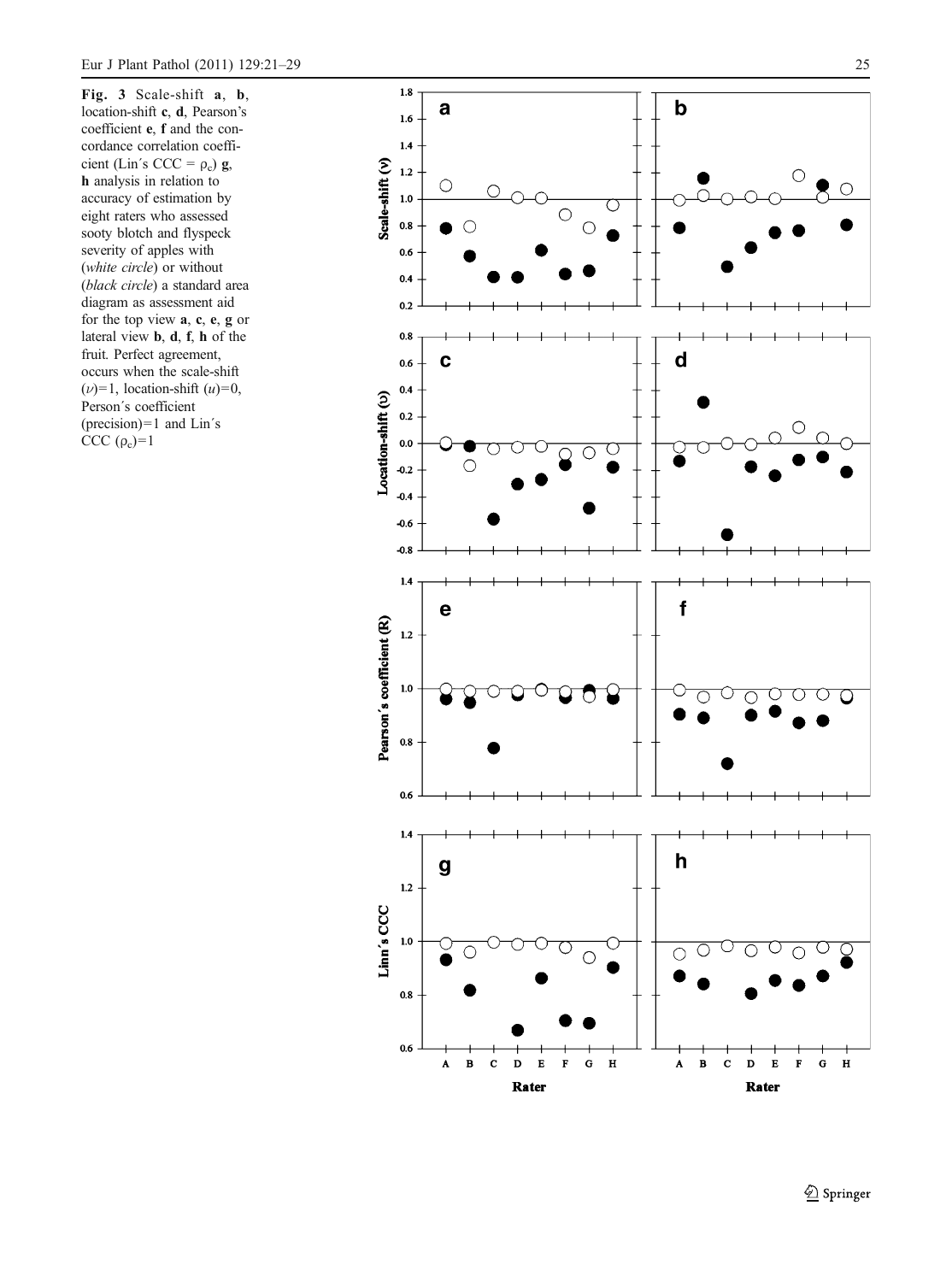<span id="page-4-0"></span>Fig. 3 Scale-shift **a**, **b**, location-shift **c**, **d**, Pearson's coefficient e , f and the concordance correlation coefficient (Lin's CCC =  $\rho_c$ ) g, h analysis in relation to accuracy of estimation by eight raters who assessed sooty blotch and flyspeck severity of apples with (white circle) or without (black circle) a standard area diagram as assessment aid for the top view  $a, c, e, g$  or lateral view **,**  $**d**$ **,**  $**f**$ **,**  $**h**$  **of the** fruit. Perfect agreement, occurs when the scale-shift  $(\nu)$ =1, location-shift  $(u)$ =0, Person´s coefficient (precision)=1 and Lin´s CCC  $(\rho_c)=1$ 

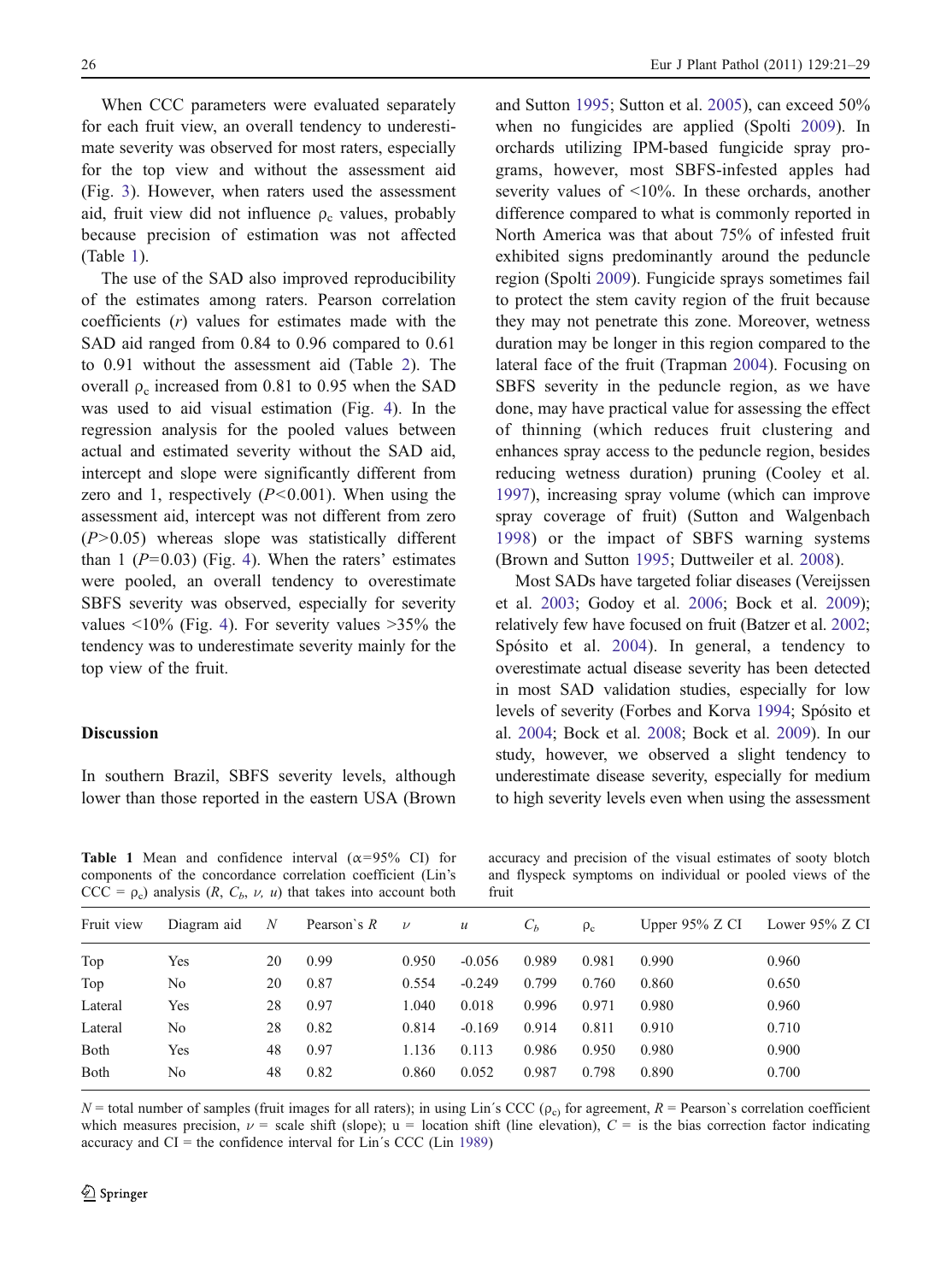When CCC parameters were evaluated separately for each fruit view, an overall tendency to underestimate severity was observed for most raters, especially for the top view and without the assessment aid (Fig. [3\)](#page-4-0). However, when raters used the assessment aid, fruit view did not influence  $\rho_c$  values, probably because precision of estimation was not affected (Table 1).

The use of the SAD also improved reproducibility of the estimates among raters. Pearson correlation coefficients  $(r)$  values for estimates made with the SAD aid ranged from 0.84 to 0.96 compared to 0.61 to 0.91 without the assessment aid (Table [2](#page-6-0)). The overall  $ρ<sub>c</sub>$  increased from 0.81 to 0.95 when the SAD was used to aid visual estimation (Fig. [4\)](#page-6-0). In the regression analysis for the pooled values between actual and estimated severity without the SAD aid, intercept and slope were significantly different from zero and 1, respectively  $(P<0.001)$ . When using the assessment aid, intercept was not different from zero  $(P>0.05)$  whereas slope was statistically different than 1 ( $P=0.03$ ) (Fig. [4](#page-6-0)). When the raters' estimates were pooled, an overall tendency to overestimate SBFS severity was observed, especially for severity values  $\langle 10\%$  (Fig. [4](#page-6-0)). For severity values  $>35\%$  the tendency was to underestimate severity mainly for the top view of the fruit.

#### **Discussion**

In southern Brazil, SBFS severity levels, although lower than those reported in the eastern USA (Brown

and Sutton [1995;](#page-7-0) Sutton et al. [2005\)](#page-8-0), can exceed 50% when no fungicides are applied (Spolti [2009\)](#page-8-0). In orchards utilizing IPM-based fungicide spray programs, however, most SBFS-infested apples had severity values of <10%. In these orchards, another difference compared to what is commonly reported in North America was that about 75% of infested fruit exhibited signs predominantly around the peduncle region (Spolti [2009\)](#page-8-0). Fungicide sprays sometimes fail to protect the stem cavity region of the fruit because they may not penetrate this zone. Moreover, wetness duration may be longer in this region compared to the lateral face of the fruit (Trapman [2004](#page-8-0)). Focusing on SBFS severity in the peduncle region, as we have done, may have practical value for assessing the effect of thinning (which reduces fruit clustering and enhances spray access to the peduncle region, besides reducing wetness duration) pruning (Cooley et al. [1997\)](#page-7-0), increasing spray volume (which can improve spray coverage of fruit) (Sutton and Walgenbach [1998](#page-8-0)) or the impact of SBFS warning systems (Brown and Sutton [1995](#page-7-0); Duttweiler et al. [2008\)](#page-7-0).

Most SADs have targeted foliar diseases (Vereijssen et al. [2003;](#page-8-0) Godoy et al. [2006;](#page-8-0) Bock et al. [2009](#page-7-0)); relatively few have focused on fruit (Batzer et al. [2002;](#page-7-0) Spósito et al. [2004](#page-8-0)). In general, a tendency to overestimate actual disease severity has been detected in most SAD validation studies, especially for low levels of severity (Forbes and Korva [1994;](#page-7-0) Spósito et al. [2004;](#page-8-0) Bock et al. [2008;](#page-7-0) Bock et al. [2009](#page-7-0)). In our study, however, we observed a slight tendency to underestimate disease severity, especially for medium to high severity levels even when using the assessment

Table 1 Mean and confidence interval  $(\alpha=95\% \text{ CI})$  for components of the concordance correlation coefficient (Lin's  $CCC = \rho_c$ ) analysis (R,  $C_b$ ,  $\nu$ ,  $u$ ) that takes into account both

accuracy and precision of the visual estimates of sooty blotch and flyspeck symptoms on individual or pooled views of the fruit

| Fruit view | Diagram aid | N  | Pearson's $R$ | $\nu$ | $\boldsymbol{u}$ | $C_h$ | $\rho_c$ | Upper $95\%$ Z CI | Lower 95% Z CI |  |  |
|------------|-------------|----|---------------|-------|------------------|-------|----------|-------------------|----------------|--|--|
| Top        | Yes         | 20 | 0.99          | 0.950 | $-0.056$         | 0.989 | 0.981    | 0.990             | 0.960          |  |  |
| Top        | No          | 20 | 0.87          | 0.554 | $-0.249$         | 0.799 | 0.760    | 0.860             | 0.650          |  |  |
| Lateral    | Yes         | 28 | 0.97          | 1.040 | 0.018            | 0.996 | 0.971    | 0.980             | 0.960          |  |  |
| Lateral    | No          | 28 | 0.82          | 0.814 | $-0.169$         | 0.914 | 0.811    | 0.910             | 0.710          |  |  |
| Both       | Yes         | 48 | 0.97          | 1.136 | 0.113            | 0.986 | 0.950    | 0.980             | 0.900          |  |  |
| Both       | No          | 48 | 0.82          | 0.860 | 0.052            | 0.987 | 0.798    | 0.890             | 0.700          |  |  |
|            |             |    |               |       |                  |       |          |                   |                |  |  |

 $N =$  total number of samples (fruit images for all raters); in using Lin´s CCC ( $\rho_c$ ) for agreement,  $R =$  Pearson`s correlation coefficient which measures precision,  $\nu$  = scale shift (slope); u = location shift (line elevation),  $C =$  is the bias correction factor indicating accuracy and  $CI =$  the confidence interval for Lin's CCC (Lin [1989\)](#page-8-0)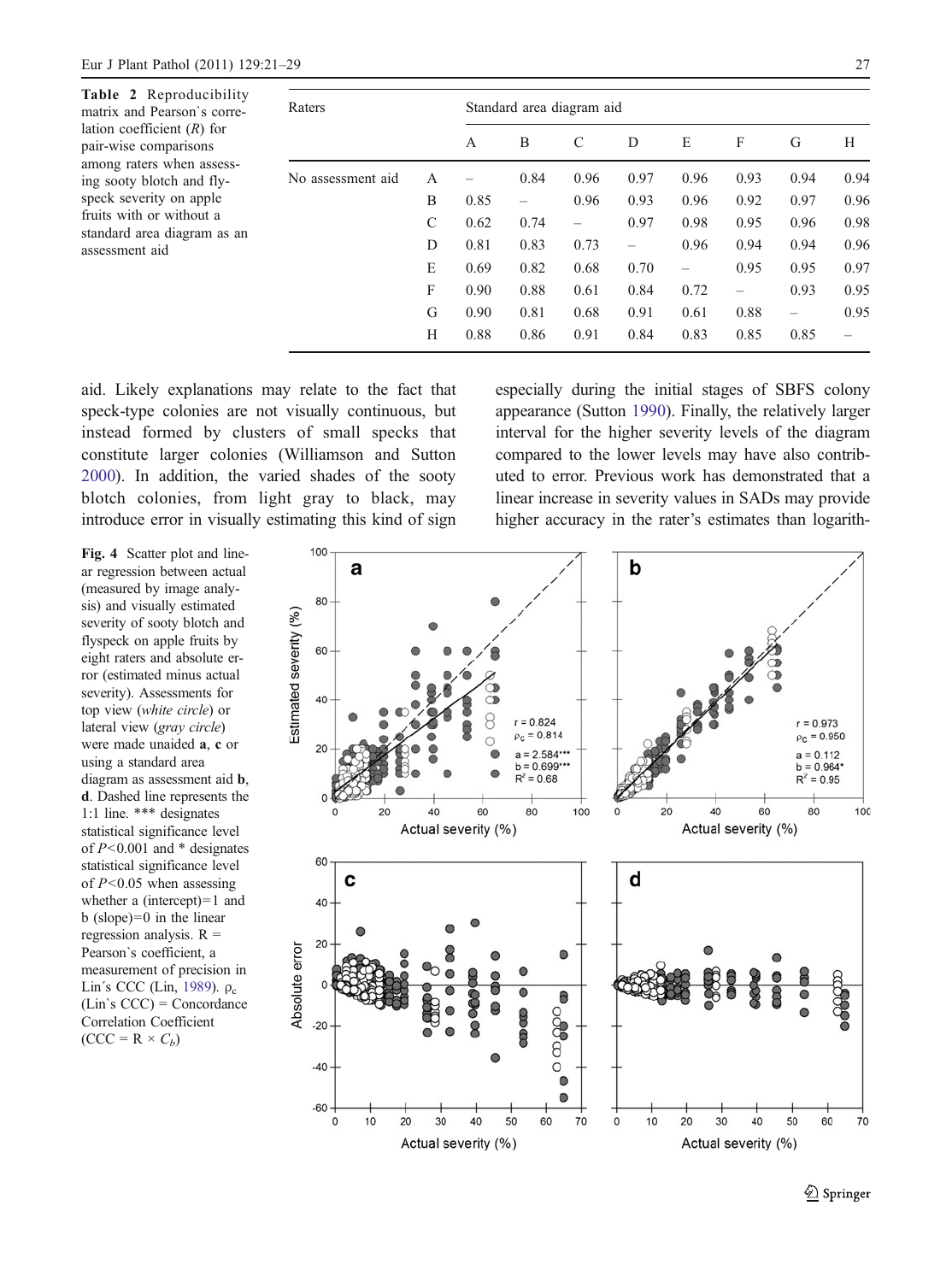<span id="page-6-0"></span>Table 2 matrix and lation coe pair-wise among rat ing sooty speck sev fruits with standard a assessmen

| Reproducibility<br>d Pearson's corre- | Raters            |   | Standard area diagram aid |               |      |      |      |      |                   |      |  |
|---------------------------------------|-------------------|---|---------------------------|---------------|------|------|------|------|-------------------|------|--|
| fficient $(R)$ for<br>comparisons     |                   | A | B                         | $\mathcal{C}$ | D    | E    | F    | G    | Н                 |      |  |
| ers when assess-<br>blotch and fly-   | No assessment aid | A |                           | 0.84          | 0.96 | 0.97 | 0.96 | 0.93 | 0.94              | 0.94 |  |
| erity on apple                        |                   | B | 0.85                      | -             | 0.96 | 0.93 | 0.96 | 0.92 | 0.97              | 0.96 |  |
| n or without a                        |                   | C | 0.62                      | 0.74          |      | 0.97 | 0.98 | 0.95 | 0.96              | 0.98 |  |
| rea diagram as an<br>tt aid           |                   | D | 0.81                      | 0.83          | 0.73 | -    | 0.96 | 0.94 | 0.94              | 0.96 |  |
|                                       |                   | Ε | 0.69                      | 0.82          | 0.68 | 0.70 | -    | 0.95 | 0.95              | 0.97 |  |
|                                       |                   | F | 0.90                      | 0.88          | 0.61 | 0.84 | 0.72 | -    | 0.93              | 0.95 |  |
|                                       |                   | G | 0.90                      | 0.81          | 0.68 | 0.91 | 0.61 | 0.88 | $\qquad \qquad -$ | 0.95 |  |
|                                       |                   | Н | 0.88                      | 0.86          | 0.91 | 0.84 | 0.83 | 0.85 | 0.85              |      |  |
|                                       |                   |   |                           |               |      |      |      |      |                   |      |  |

aid. Likely explanations may relate to the fact that speck-type colonies are not visually continuous, but instead formed by clusters of small specks that constitute larger colonies (Williamson and Sutton [2000](#page-8-0)). In addition, the varied shades of the sooty blotch colonies, from light gray to black, may introduce error in visually estimating this kind of sign especially during the initial stages of SBFS colony appearance (Sutton [1990\)](#page-8-0). Finally, the relatively larger interval for the higher severity levels of the diagram compared to the lower levels may have also contributed to error. Previous work has demonstrated that a linear increase in severity values in SADs may provide higher accuracy in the rater's estimates than logarith-

Fig. 4 Scatter plot and linear regression between actual (measured by image analysis) and visually estimated severity of sooty blotch and flyspeck on apple fruits by eight raters and absolute error (estimated minus actual severity). Assessments for top view (white circle) or lateral view (gray circle) were made unaided a, c or using a standard area diagram as assessment aid b, d. Dashed line represents the 1:1 line. \*\*\* designates statistical significance level of  $P<0.001$  and  $*$  designates statistical significance level of  $P<0.05$  when assessing whether a (intercept)=1 and b (slope)=0 in the linear regression analysis.  $R =$ Pearson`s coefficient, a measurement of precision in Lin's CCC (Lin, [1989](#page-8-0)).  $\rho_c$ (Lin`s CCC) = Concordance Correlation Coefficient  $(CCC = R \times C_b)$ 

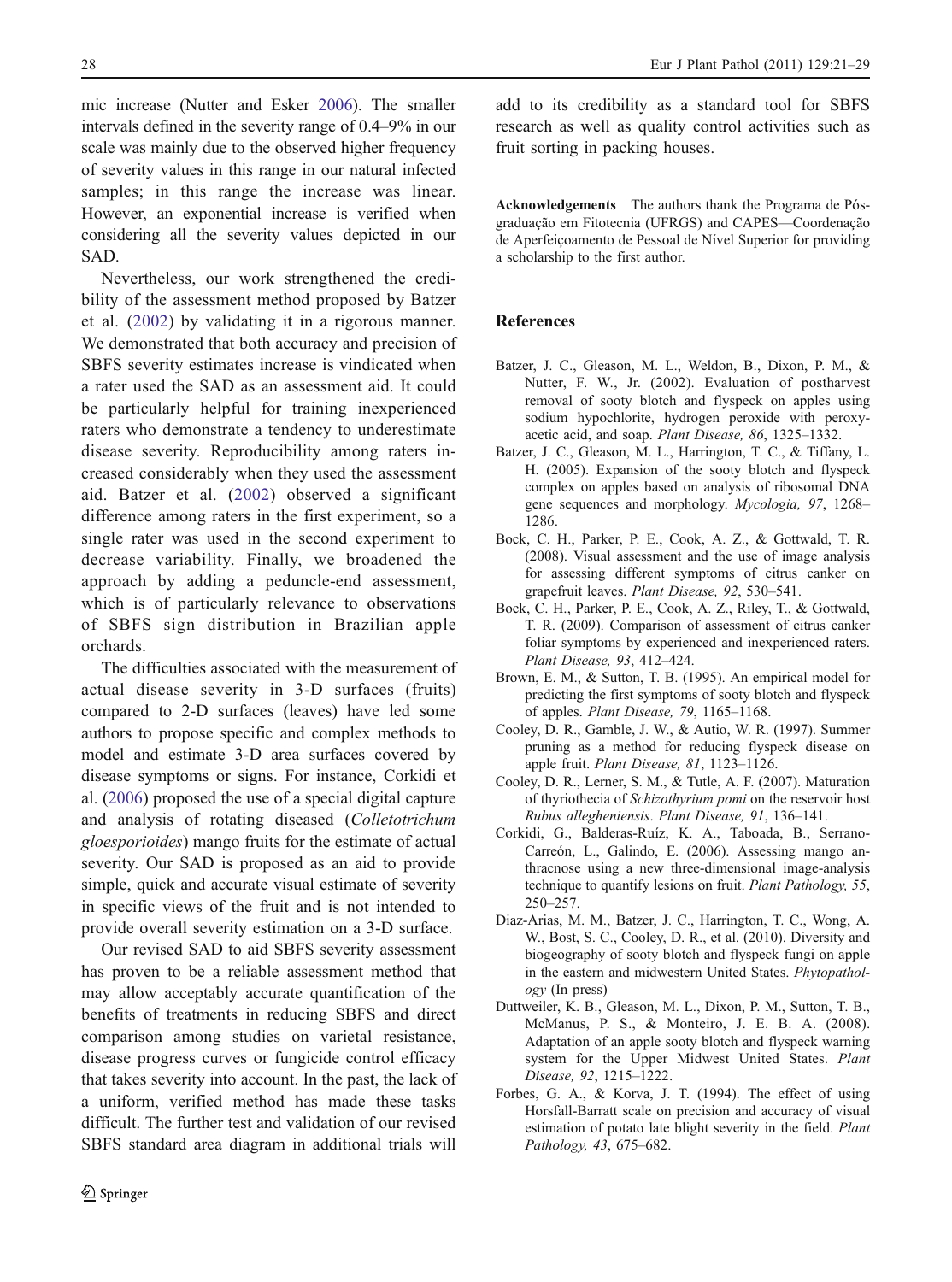<span id="page-7-0"></span>mic increase (Nutter and Esker [2006\)](#page-8-0). The smaller intervals defined in the severity range of 0.4–9% in our scale was mainly due to the observed higher frequency of severity values in this range in our natural infected samples; in this range the increase was linear. However, an exponential increase is verified when considering all the severity values depicted in our SAD.

Nevertheless, our work strengthened the credibility of the assessment method proposed by Batzer et al. (2002) by validating it in a rigorous manner. We demonstrated that both accuracy and precision of SBFS severity estimates increase is vindicated when a rater used the SAD as an assessment aid. It could be particularly helpful for training inexperienced raters who demonstrate a tendency to underestimate disease severity. Reproducibility among raters increased considerably when they used the assessment aid. Batzer et al. (2002) observed a significant difference among raters in the first experiment, so a single rater was used in the second experiment to decrease variability. Finally, we broadened the approach by adding a peduncle-end assessment, which is of particularly relevance to observations of SBFS sign distribution in Brazilian apple orchards.

The difficulties associated with the measurement of actual disease severity in 3-D surfaces (fruits) compared to 2-D surfaces (leaves) have led some authors to propose specific and complex methods to model and estimate 3-D area surfaces covered by disease symptoms or signs. For instance, Corkidi et al. (2006) proposed the use of a special digital capture and analysis of rotating diseased (Colletotrichum gloesporioides) mango fruits for the estimate of actual severity. Our SAD is proposed as an aid to provide simple, quick and accurate visual estimate of severity in specific views of the fruit and is not intended to provide overall severity estimation on a 3-D surface.

Our revised SAD to aid SBFS severity assessment has proven to be a reliable assessment method that may allow acceptably accurate quantification of the benefits of treatments in reducing SBFS and direct comparison among studies on varietal resistance, disease progress curves or fungicide control efficacy that takes severity into account. In the past, the lack of a uniform, verified method has made these tasks difficult. The further test and validation of our revised SBFS standard area diagram in additional trials will

add to its credibility as a standard tool for SBFS research as well as quality control activities such as fruit sorting in packing houses.

Acknowledgements The authors thank the Programa de Pósgraduação em Fitotecnia (UFRGS) and CAPES—Coordenação de Aperfeiçoamento de Pessoal de Nível Superior for providing a scholarship to the first author.

# References

- Batzer, J. C., Gleason, M. L., Weldon, B., Dixon, P. M., & Nutter, F. W., Jr. (2002). Evaluation of postharvest removal of sooty blotch and flyspeck on apples using sodium hypochlorite, hydrogen peroxide with peroxyacetic acid, and soap. Plant Disease, 86, 1325–1332.
- Batzer, J. C., Gleason, M. L., Harrington, T. C., & Tiffany, L. H. (2005). Expansion of the sooty blotch and flyspeck complex on apples based on analysis of ribosomal DNA gene sequences and morphology. Mycologia, 97, 1268– 1286.
- Bock, C. H., Parker, P. E., Cook, A. Z., & Gottwald, T. R. (2008). Visual assessment and the use of image analysis for assessing different symptoms of citrus canker on grapefruit leaves. Plant Disease, 92, 530–541.
- Bock, C. H., Parker, P. E., Cook, A. Z., Riley, T., & Gottwald, T. R. (2009). Comparison of assessment of citrus canker foliar symptoms by experienced and inexperienced raters. Plant Disease, 93, 412–424.
- Brown, E. M., & Sutton, T. B. (1995). An empirical model for predicting the first symptoms of sooty blotch and flyspeck of apples. Plant Disease, 79, 1165–1168.
- Cooley, D. R., Gamble, J. W., & Autio, W. R. (1997). Summer pruning as a method for reducing flyspeck disease on apple fruit. Plant Disease, 81, 1123–1126.
- Cooley, D. R., Lerner, S. M., & Tutle, A. F. (2007). Maturation of thyriothecia of Schizothyrium pomi on the reservoir host Rubus allegheniensis. Plant Disease, 91, 136–141.
- Corkidi, G., Balderas-Ruíz, K. A., Taboada, B., Serrano-Carreón, L., Galindo, E. (2006). Assessing mango anthracnose using a new three-dimensional image-analysis technique to quantify lesions on fruit. Plant Pathology, 55, 250–257.
- Diaz-Arias, M. M., Batzer, J. C., Harrington, T. C., Wong, A. W., Bost, S. C., Cooley, D. R., et al. (2010). Diversity and biogeography of sooty blotch and flyspeck fungi on apple in the eastern and midwestern United States. Phytopathology (In press)
- Duttweiler, K. B., Gleason, M. L., Dixon, P. M., Sutton, T. B., McManus, P. S., & Monteiro, J. E. B. A. (2008). Adaptation of an apple sooty blotch and flyspeck warning system for the Upper Midwest United States. Plant Disease, 92, 1215–1222.
- Forbes, G. A., & Korva, J. T. (1994). The effect of using Horsfall-Barratt scale on precision and accuracy of visual estimation of potato late blight severity in the field. Plant Pathology, 43, 675–682.